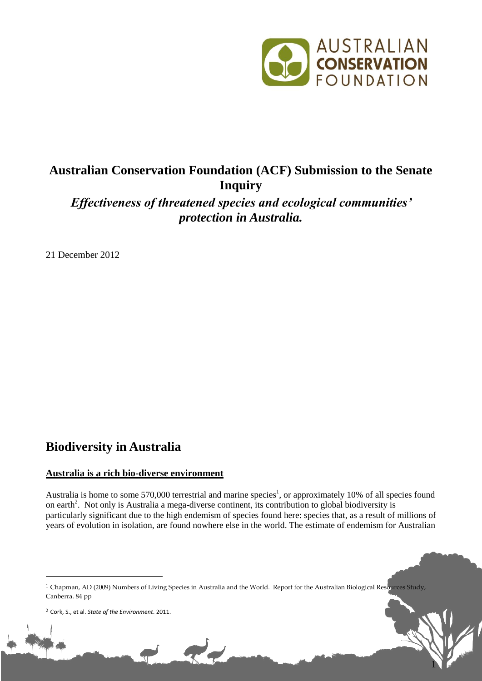

1

# **Australian Conservation Foundation (ACF) Submission to the Senate Inquiry**

*Effectiveness of threatened species and ecological communities' protection in Australia.*

21 December 2012

# **Biodiversity in Australia**

### **Australia is a rich bio-diverse environment**

Australia is home to some 570,000 terrestrial and marine species<sup>1</sup>, or approximately 10% of all species found on earth<sup>2</sup>. Not only is Australia a mega-diverse continent, its contribution to global biodiversity is particularly significant due to the high endemism of species found here: species that, as a result of millions of years of evolution in isolation, are found nowhere else in the world. The estimate of endemism for Australian

<u>.</u>

<sup>&</sup>lt;sup>1</sup> Chapman, AD (2009) Numbers of Living Species in Australia and the World. Report for the Australian Biological Resources Study, Canberra. 84 pp

<sup>2</sup> Cork, S., et al. *State of the Environment*. 2011.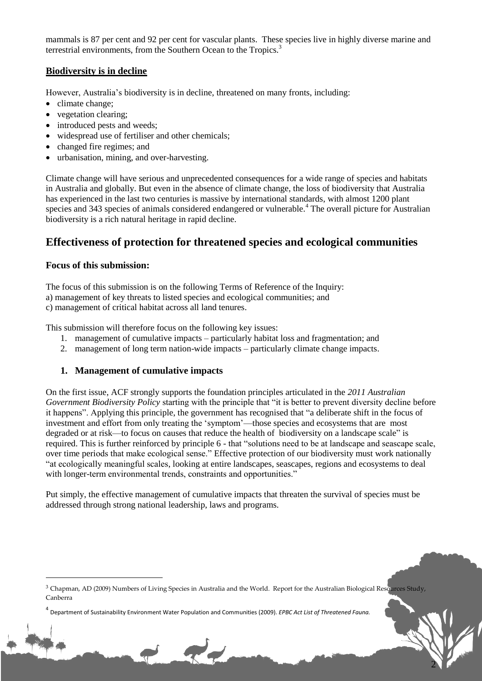mammals is 87 per cent and 92 per cent for vascular plants. These species live in highly diverse marine and terrestrial environments, from the Southern Ocean to the Tropics.<sup>3</sup>

### **Biodiversity is in decline**

However, Australia's biodiversity is in decline, threatened on many fronts, including:

- climate change:
- vegetation clearing;
- introduced pests and weeds;
- widespread use of fertiliser and other chemicals;
- changed fire regimes; and
- urbanisation, mining, and over-harvesting.

Climate change will have serious and unprecedented consequences for a wide range of species and habitats in Australia and globally. But even in the absence of climate change, the loss of biodiversity that Australia has experienced in the last two centuries is massive by international standards, with almost 1200 plant species and 343 species of animals considered endangered or vulnerable.<sup>4</sup> The overall picture for Australian biodiversity is a rich natural heritage in rapid decline.

## **Effectiveness of protection for threatened species and ecological communities**

#### **Focus of this submission:**

1

The focus of this submission is on the following Terms of Reference of the Inquiry: a) management of key threats to listed species and ecological communities; and c) management of critical habitat across all land tenures.

This submission will therefore focus on the following key issues:

- 1. management of cumulative impacts particularly habitat loss and fragmentation; and
- 2. management of long term nation-wide impacts particularly climate change impacts.

#### **1. Management of cumulative impacts**

On the first issue, ACF strongly supports the foundation principles articulated in the *2011 Australian Government Biodiversity Policy* starting with the principle that "it is better to prevent diversity decline before it happens". Applying this principle, the government has recognised that "a deliberate shift in the focus of investment and effort from only treating the 'symptom'—those species and ecosystems that are most degraded or at risk—to focus on causes that reduce the health of biodiversity on a landscape scale" is required. This is further reinforced by principle 6 - that "solutions need to be at landscape and seascape scale, over time periods that make ecological sense." Effective protection of our biodiversity must work nationally "at ecologically meaningful scales, looking at entire landscapes, seascapes, regions and ecosystems to deal with longer-term environmental trends, constraints and opportunities."

Put simply, the effective management of cumulative impacts that threaten the survival of species must be addressed through strong national leadership, laws and programs.

2

<sup>&</sup>lt;sup>3</sup> Chapman, AD (2009) Numbers of Living Species in Australia and the World. Report for the Australian Biological Resources Study, Canberra

<sup>4</sup> Department of Sustainability Environment Water Population and Communities (2009). *EPBC Act List of Threatened Fauna.*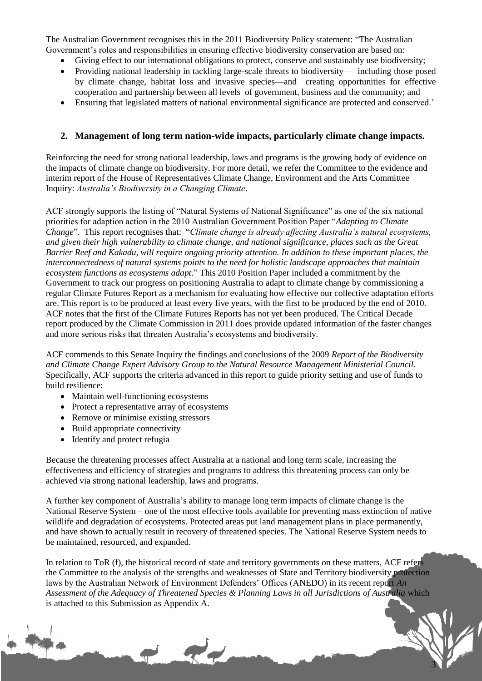The Australian Government recognises this in the 2011 Biodiversity Policy statement: "The Australian Government's roles and responsibilities in ensuring effective biodiversity conservation are based on:

- Giving effect to our international obligations to protect, conserve and sustainably use biodiversity;
- Providing national leadership in tackling large-scale threats to biodiversity— including those posed by climate change, habitat loss and invasive species—and creating opportunities for effective cooperation and partnership between all levels of government, business and the community; and
- Ensuring that legislated matters of national environmental significance are protected and conserved.'

#### **2. Management of long term nation-wide impacts, particularly climate change impacts.**

Reinforcing the need for strong national leadership, laws and programs is the growing body of evidence on the impacts of climate change on biodiversity. For more detail, we refer the Committee to the evidence and interim report of the House of Representatives Climate Change, Environment and the Arts Committee Inquiry: *Australia's Biodiversity in a Changing Climate*.

ACF strongly supports the listing of "Natural Systems of National Significance" as one of the six national priorities for adaption action in the 2010 Australian Government Position Paper "*Adapting to Climate Change*". This report recognises that: "*Climate change is already affecting Australia's natural ecosystems, and given their high vulnerability to climate change, and national significance, places such as the Great Barrier Reef and Kakadu, will require ongoing priority attention. In addition to these important places, the interconnectedness of natural systems points to the need for holistic landscape approaches that maintain ecosystem functions as ecosystems adapt*." This 2010 Position Paper included a commitment by the Government to track our progress on positioning Australia to adapt to climate change by commissioning a regular Climate Futures Report as a mechanism for evaluating how effective our collective adaptation efforts are. This report is to be produced at least every five years, with the first to be produced by the end of 2010. ACF notes that the first of the Climate Futures Reports has not yet been produced. The Critical Decade report produced by the Climate Commission in 2011 does provide updated information of the faster changes and more serious risks that threaten Australia's ecosystems and biodiversity.

ACF commends to this Senate Inquiry the findings and conclusions of the 2009 *Report of the Biodiversity and Climate Change Expert Advisory Group to the Natural Resource Management Ministerial Council*. Specifically, ACF supports the criteria advanced in this report to guide priority setting and use of funds to build resilience:

- Maintain well-functioning ecosystems
- Protect a representative array of ecosystems
- Remove or minimise existing stressors
- Build appropriate connectivity
- Identify and protect refugia

Because the threatening processes affect Australia at a national and long term scale, increasing the effectiveness and efficiency of strategies and programs to address this threatening process can only be achieved via strong national leadership, laws and programs.

A further key component of Australia's ability to manage long term impacts of climate change is the National Reserve System – one of the most effective tools available for preventing mass extinction of native wildlife and degradation of ecosystems. Protected areas put land management plans in place permanently, and have shown to actually result in recovery of threatened species. The National Reserve System needs to be maintained, resourced, and expanded.

In relation to ToR (f), the historical record of state and territory governments on these matters, ACF refers the Committee to the analysis of the strengths and weaknesses of State and Territory biodiversity protection laws by the Australian Network of Environment Defenders' Offices (ANEDO) in its recent report *An Assessment of the Adequacy of Threatened Species & Planning Laws in all Jurisdictions of Australia* which is attached to this Submission as Appendix A.

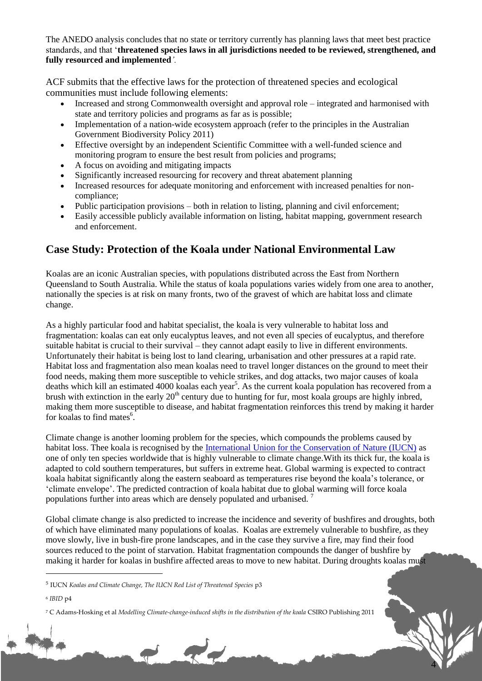The ANEDO analysis concludes that no state or territory currently has planning laws that meet best practice standards, and that '**threatened species laws in all jurisdictions needed to be reviewed, strengthened, and fully resourced and implemented***'.*

ACF submits that the effective laws for the protection of threatened species and ecological communities must include following elements:

- Increased and strong Commonwealth oversight and approval role integrated and harmonised with state and territory policies and programs as far as is possible;
- Implementation of a nation-wide ecosystem approach (refer to the principles in the Australian Government Biodiversity Policy 2011)
- Effective oversight by an independent Scientific Committee with a well-funded science and monitoring program to ensure the best result from policies and programs;
- A focus on avoiding and mitigating impacts
- Significantly increased resourcing for recovery and threat abatement planning
- Increased resources for adequate monitoring and enforcement with increased penalties for noncompliance;
- Public participation provisions both in relation to listing, planning and civil enforcement;
- Easily accessible publicly available information on listing, habitat mapping, government research and enforcement.

## **Case Study: Protection of the Koala under National Environmental Law**

Koalas are an iconic Australian species, with populations distributed across the East from Northern Queensland to South Australia. While the status of koala populations varies widely from one area to another, nationally the species is at risk on many fronts, two of the gravest of which are habitat loss and climate change.

As a highly particular food and habitat specialist, the koala is very vulnerable to habitat loss and fragmentation: koalas can eat only eucalyptus leaves, and not even all species of eucalyptus, and therefore suitable habitat is crucial to their survival – they cannot adapt easily to live in different environments. Unfortunately their habitat is being lost to land clearing, urbanisation and other pressures at a rapid rate. Habitat loss and fragmentation also mean koalas need to travel longer distances on the ground to meet their food needs, making them more susceptible to vehicle strikes, and dog attacks, two major causes of koala deaths which kill an estimated 4000 koalas each year<sup>5</sup>. As the current koala population has recovered from a brush with extinction in the early  $20<sup>th</sup>$  century due to hunting for fur, most koala groups are highly inbred, making them more susceptible to disease, and habitat fragmentation reinforces this trend by making it harder for koalas to find mates $6$ .

Climate change is another looming problem for the species, which compounds the problems caused by habitat loss. Thee koala is recognised by the International Union for the Conservation of Nature (IUCN) as one of only ten species worldwide that is highly vulnerable to climate change.With its thick fur, the koala is adapted to cold southern temperatures, but suffers in extreme heat. Global warming is expected to contract koala habitat significantly along the eastern seaboard as temperatures rise beyond the koala's tolerance, or 'climate envelope'. The predicted contraction of koala habitat due to global warming will force koala populations further into areas which are densely populated and urbanised. <sup>7</sup>

Global climate change is also predicted to increase the incidence and severity of bushfires and droughts, both of which have eliminated many populations of koalas. Koalas are extremely vulnerable to bushfire, as they move slowly, live in bush-fire prone landscapes, and in the case they survive a fire, may find their food sources reduced to the point of starvation. Habitat fragmentation compounds the danger of bushfire by making it harder for koalas in bushfire affected areas to move to new habitat. During droughts koalas must

4

6 *IBID* p4

<u>.</u>

<sup>5</sup> IUCN *Koalas and Climate Change, The IUCN Red List of Threatened Species* p3

<sup>&</sup>lt;sup>7</sup> C Adams-Hosking et al *Modelling Climate-change-induced shifts in the distribution of the koala CSIRO Publishing 2011*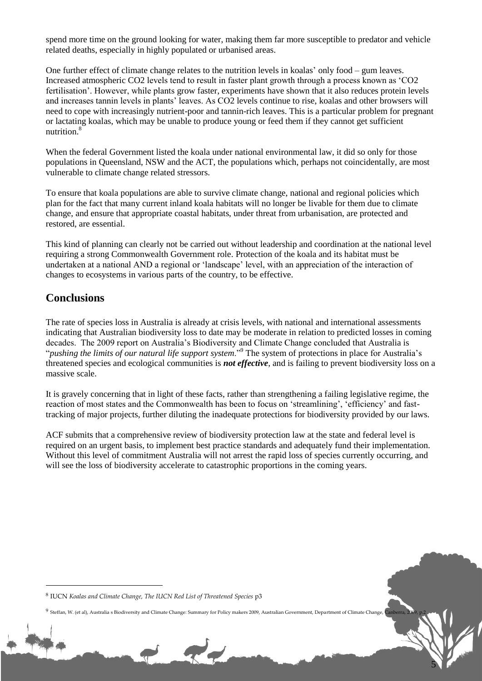spend more time on the ground looking for water, making them far more susceptible to predator and vehicle related deaths, especially in highly populated or urbanised areas.

One further effect of climate change relates to the nutrition levels in koalas' only food – gum leaves. Increased atmospheric CO2 levels tend to result in faster plant growth through a process known as 'CO2 fertilisation'. However, while plants grow faster, experiments have shown that it also reduces protein levels and increases tannin levels in plants' leaves. As CO2 levels continue to rise, koalas and other browsers will need to cope with increasingly nutrient-poor and tannin-rich leaves. This is a particular problem for pregnant or lactating koalas, which may be unable to produce young or feed them if they cannot get sufficient nutrition.<sup>8</sup>

When the federal Government listed the koala under national environmental law, it did so only for those populations in Queensland, NSW and the ACT, the populations which, perhaps not coincidentally, are most vulnerable to climate change related stressors.

To ensure that koala populations are able to survive climate change, national and regional policies which plan for the fact that many current inland koala habitats will no longer be livable for them due to climate change, and ensure that appropriate coastal habitats, under threat from urbanisation, are protected and restored, are essential.

This kind of planning can clearly not be carried out without leadership and coordination at the national level requiring a strong Commonwealth Government role. Protection of the koala and its habitat must be undertaken at a national AND a regional or 'landscape' level, with an appreciation of the interaction of changes to ecosystems in various parts of the country, to be effective.

## **Conclusions**

1

The rate of species loss in Australia is already at crisis levels, with national and international assessments indicating that Australian biodiversity loss to date may be moderate in relation to predicted losses in coming decades. The 2009 report on Australia's Biodiversity and Climate Change concluded that Australia is "*pushing the limits of our natural life support system*."<sup>9</sup> The system of protections in place for Australia's threatened species and ecological communities is *not effective*, and is failing to prevent biodiversity loss on a massive scale.

It is gravely concerning that in light of these facts, rather than strengthening a failing legislative regime, the reaction of most states and the Commonwealth has been to focus on 'streamlining', 'efficiency' and fasttracking of major projects, further diluting the inadequate protections for biodiversity provided by our laws.

ACF submits that a comprehensive review of biodiversity protection law at the state and federal level is required on an urgent basis, to implement best practice standards and adequately fund their implementation. Without this level of commitment Australia will not arrest the rapid loss of species currently occurring, and will see the loss of biodiversity accelerate to catastrophic proportions in the coming years.

5

<sup>8</sup> IUCN *Koalas and Climate Change, The IUCN Red List of Threatened Species* p3

<sup>9</sup> Steffan, W. (et al), Australia s Biodiversity and Climate Change: Summary for Policy makers 2009, Australian Government, Department of Climate Change, Canberra, 2009, p.2